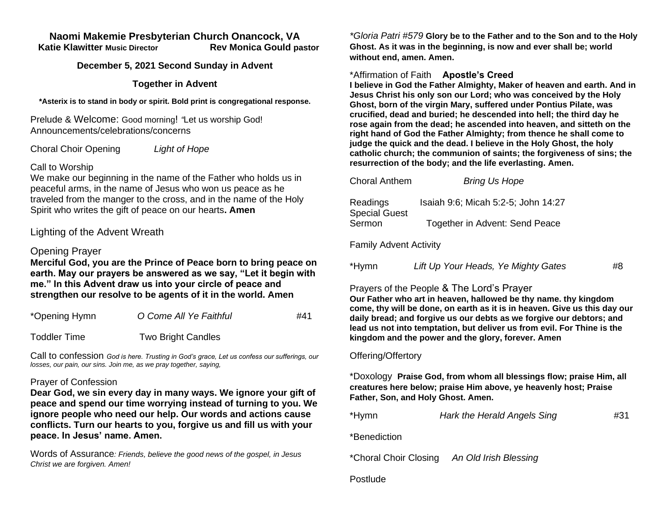#### **Naomi Makemie Presbyterian Church Onancock, VA Katie Klawitter Music Director Rev Monica Gould pastor**

#### **December 5, 2021 Second Sunday in Advent**

### **Together in Advent**

**\*Asterix is to stand in body or spirit. Bold print is congregational response.**

Prelude & Welcome: Good morning! *"*Let us worship God! Announcements/celebrations/concerns

Choral Choir Opening *Light of Hope*

### Call to Worship

We make our beginning in the name of the Father who holds us in peaceful arms, in the name of Jesus who won us peace as he traveled from the manger to the cross, and in the name of the Holy Spirit who writes the gift of peace on our hearts**. Amen**

# Lighting of the Advent Wreath

### Opening Prayer

**Merciful God, you are the Prince of Peace born to bring peace on earth. May our prayers be answered as we say, "Let it begin with me." In this Advent draw us into your circle of peace and strengthen our resolve to be agents of it in the world. Amen**

| *Opening Hymn       | O Come All Ye Faithful    | #41 |
|---------------------|---------------------------|-----|
| <b>Toddler Time</b> | <b>Two Bright Candles</b> |     |

Call to confession *God is here. Trusting in God's grace, Let us confess our sufferings, our losses, our pain, our sins. Join me, as we pray together, saying,*

#### Prayer of Confession

**Dear God, we sin every day in many ways. We ignore your gift of peace and spend our time worrying instead of turning to you. We ignore people who need our help. Our words and actions cause conflicts. Turn our hearts to you, forgive us and fill us with your peace. In Jesus' name. Amen.** 

Words of Assurance*: Friends, believe the good news of the gospel, in Jesus Christ we are forgiven. Amen!*

*\*Gloria Patri #579* **Glory be to the Father and to the Son and to the Holy Ghost. As it was in the beginning, is now and ever shall be; world without end, amen. Amen.** 

### \*Affirmation of Faith **Apostle's Creed**

**I believe in God the Father Almighty, Maker of heaven and earth. And in Jesus Christ his only son our Lord; who was conceived by the Holy Ghost, born of the virgin Mary, suffered under Pontius Pilate, was crucified, dead and buried; he descended into hell; the third day he rose again from the dead; he ascended into heaven, and sitteth on the right hand of God the Father Almighty; from thence he shall come to judge the quick and the dead. I believe in the Holy Ghost, the holy catholic church; the communion of saints; the forgiveness of sins; the resurrection of the body; and the life everlasting. Amen.**

| <b>Choral Anthem</b>             | <b>Bring Us Hope</b>                |
|----------------------------------|-------------------------------------|
| Readings<br><b>Special Guest</b> | Isaiah 9:6; Micah 5:2-5; John 14:27 |
| Sermon                           | Together in Advent: Send Peace      |

Family Advent Activity

| *Hymn | Lift Up Your Heads, Ye Mighty Gates | #8 |
|-------|-------------------------------------|----|
|       |                                     |    |

## Prayers of the People & The Lord's Prayer

**Our Father who art in heaven, hallowed be thy name. thy kingdom come, thy will be done, on earth as it is in heaven. Give us this day our daily bread; and forgive us our debts as we forgive our debtors; and lead us not into temptation, but deliver us from evil. For Thine is the kingdom and the power and the glory, forever. Amen**

#### Offering/Offertory

\*Doxology **Praise God, from whom all blessings flow; praise Him, all creatures here below; praise Him above, ye heavenly host; Praise Father, Son, and Holy Ghost. Amen.** 

| *Hymn<br>Hark the Herald Angels Sing | #31 |
|--------------------------------------|-----|
|--------------------------------------|-----|

\*Benediction

\*Choral Choir Closing *An Old Irish Blessing*

Postlude